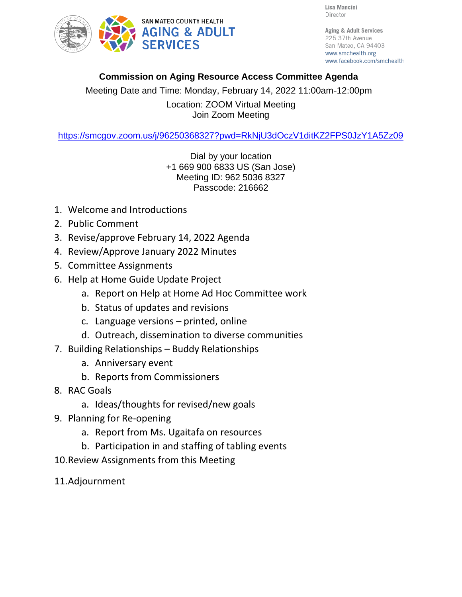



Aging & Adult Services 225 37th Avenue San Mateo, CA 94403 www.smchealth.org www.facebook.com/smchealth

## **Commission on Aging Resource Access Committee Agenda**

Meeting Date and Time: Monday, February 14, 2022 11:00am-12:00pm Location: ZOOM Virtual Meeting Join Zoom Meeting

<https://smcgov.zoom.us/j/96250368327?pwd=RkNjU3dOczV1ditKZ2FPS0JzY1A5Zz09>

Dial by your location +1 669 900 6833 US (San Jose) Meeting ID: 962 5036 8327 Passcode: 216662

- 1. Welcome and Introductions
- 2. Public Comment
- 3. Revise/approve February 14, 2022 Agenda
- 4. Review/Approve January 2022 Minutes
- 5. Committee Assignments
- 6. Help at Home Guide Update Project
	- a. Report on Help at Home Ad Hoc Committee work
	- b. Status of updates and revisions
	- c. Language versions printed, online
	- d. Outreach, dissemination to diverse communities
- 7. Building Relationships Buddy Relationships
	- a. Anniversary event
	- b. Reports from Commissioners
- 8. RAC Goals
	- a. Ideas/thoughts for revised/new goals
- 9. Planning for Re-opening
	- a. Report from Ms. Ugaitafa on resources
	- b. Participation in and staffing of tabling events
- 10.Review Assignments from this Meeting
- 11.Adjournment